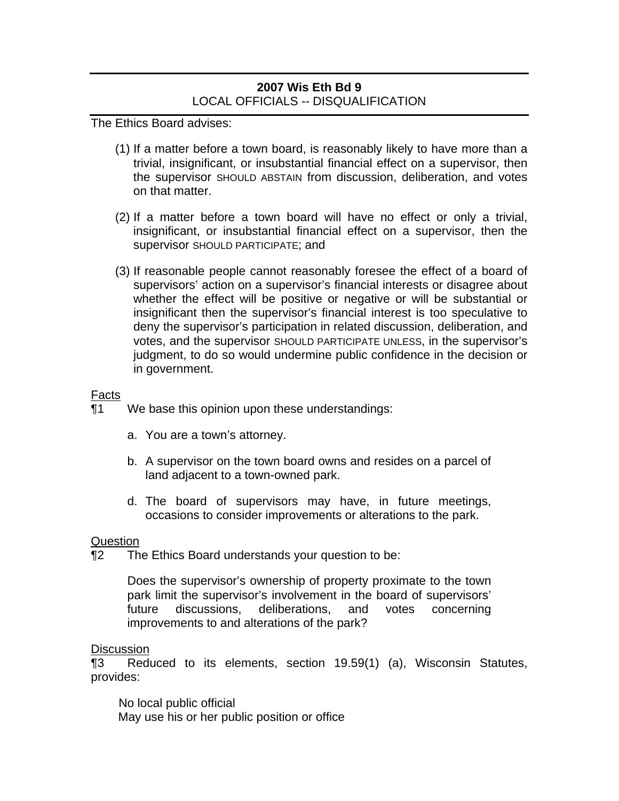# **2007 Wis Eth Bd 9**  LOCAL OFFICIALS -- DISQUALIFICATION

The Ethics Board advises:

- (1) If a matter before a town board, is reasonably likely to have more than a trivial, insignificant, or insubstantial financial effect on a supervisor, then the supervisor SHOULD ABSTAIN from discussion, deliberation, and votes on that matter.
- (2) If a matter before a town board will have no effect or only a trivial, insignificant, or insubstantial financial effect on a supervisor, then the supervisor SHOULD PARTICIPATE; and
- (3) If reasonable people cannot reasonably foresee the effect of a board of supervisors' action on a supervisor's financial interests or disagree about whether the effect will be positive or negative or will be substantial or insignificant then the supervisor's financial interest is too speculative to deny the supervisor's participation in related discussion, deliberation, and votes, and the supervisor SHOULD PARTICIPATE UNLESS, in the supervisor's judgment, to do so would undermine public confidence in the decision or in government.

## Facts

¶1 We base this opinion upon these understandings:

- a. You are a town's attorney.
- b. A supervisor on the town board owns and resides on a parcel of land adjacent to a town-owned park.
- d. The board of supervisors may have, in future meetings, occasions to consider improvements or alterations to the park.

### **Question**

¶2 The Ethics Board understands your question to be:

Does the supervisor's ownership of property proximate to the town park limit the supervisor's involvement in the board of supervisors' future discussions, deliberations, and votes concerning improvements to and alterations of the park?

### **Discussion**

¶3 Reduced to its elements, section 19.59(1) (a), Wisconsin Statutes, provides:

No local public official May use his or her public position or office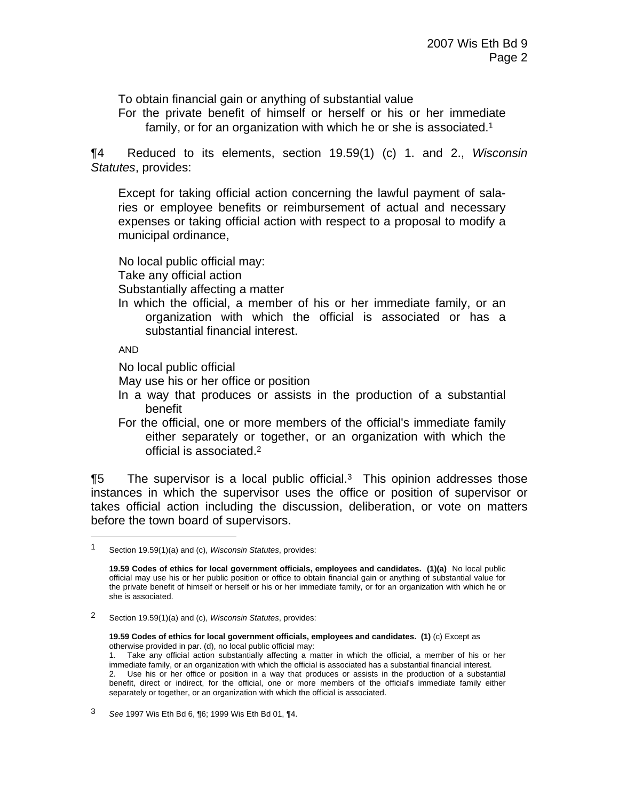To obtain financial gain or anything of substantial value

For the private benefit of himself or herself or his or her immediate family, or for an organization with which he or she is associated.<sup>1</sup>

¶4 Reduced to its elements, section 19.59(1) (c) 1. and 2., *Wisconsin Statutes*, provides:

Except for taking official action concerning the lawful payment of salaries or employee benefits or reimbursement of actual and necessary expenses or taking official action with respect to a proposal to modify a municipal ordinance,

No local public official may: Take any official action Substantially affecting a matter

In which the official, a member of his or her immediate family, or an organization with which the official is associated or has a substantial financial interest.

AND

 $\overline{a}$ 

No local public official

May use his or her office or position

- In a way that produces or assists in the production of a substantial benefit
- For the official, one or more members of the official's immediate family either separately or together, or an organization with which the official is associated.2

**The supervisor is a local public official.**<sup>3</sup> This opinion addresses those instances in which the supervisor uses the office or position of supervisor or takes official action including the discussion, deliberation, or vote on matters before the town board of supervisors.

<sup>1</sup> Section 19.59(1)(a) and (c), *Wisconsin Statutes*, provides:

**<sup>19.59</sup> Codes of ethics for local government officials, employees and candidates. (1)(a)** No local public official may use his or her public position or office to obtain financial gain or anything of substantial value for the private benefit of himself or herself or his or her immediate family, or for an organization with which he or she is associated.

<sup>2</sup> Section 19.59(1)(a) and (c), *Wisconsin Statutes*, provides:

**<sup>19.59</sup> Codes of ethics for local government officials, employees and candidates. (1)** (c) Except as otherwise provided in par. (d), no local public official may:

<sup>1.</sup> Take any official action substantially affecting a matter in which the official, a member of his or her immediate family, or an organization with which the official is associated has a substantial financial interest. 2. Use his or her office or position in a way that produces or assists in the production of a substantial benefit, direct or indirect, for the official, one or more members of the official's immediate family either separately or together, or an organization with which the official is associated.

<sup>3</sup> *See* 1997 Wis Eth Bd 6, ¶6; 1999 Wis Eth Bd 01, ¶4.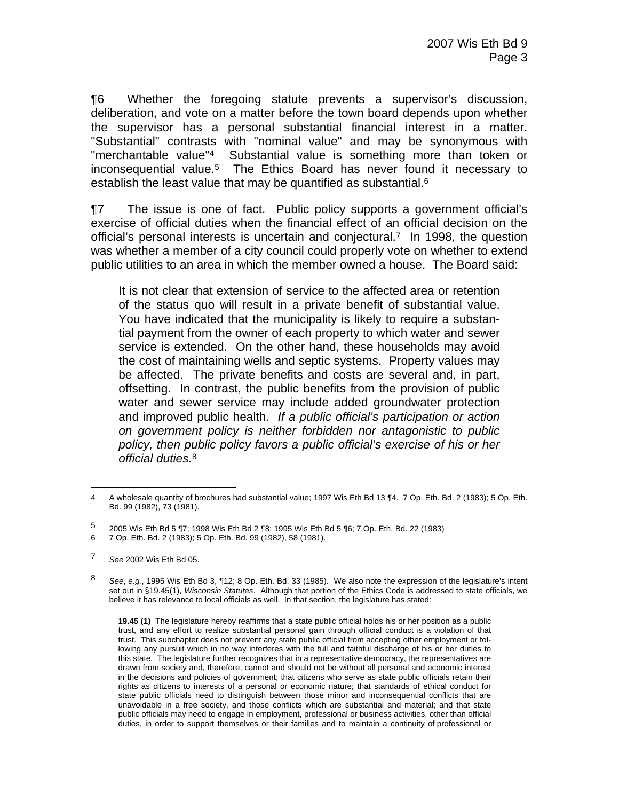¶6 Whether the foregoing statute prevents a supervisor's discussion, deliberation, and vote on a matter before the town board depends upon whether the supervisor has a personal substantial financial interest in a matter. "Substantial" contrasts with "nominal value" and may be synonymous with "merchantable value"4 Substantial value is something more than token or inconsequential value.5 The Ethics Board has never found it necessary to establish the least value that may be quantified as substantial.<sup>6</sup>

¶7 The issue is one of fact. Public policy supports a government official's exercise of official duties when the financial effect of an official decision on the official's personal interests is uncertain and conjectural.7 In 1998, the question was whether a member of a city council could properly vote on whether to extend public utilities to an area in which the member owned a house. The Board said:

It is not clear that extension of service to the affected area or retention of the status quo will result in a private benefit of substantial value. You have indicated that the municipality is likely to require a substantial payment from the owner of each property to which water and sewer service is extended. On the other hand, these households may avoid the cost of maintaining wells and septic systems. Property values may be affected. The private benefits and costs are several and, in part, offsetting. In contrast, the public benefits from the provision of public water and sewer service may include added groundwater protection and improved public health. *If a public official's participation or action on government policy is neither forbidden nor antagonistic to public policy, then public policy favors a public official's exercise of his or her official duties.*8

 $\overline{a}$ 4 A wholesale quantity of brochures had substantial value; 1997 Wis Eth Bd 13 ¶4. 7 Op. Eth. Bd. 2 (1983); 5 Op. Eth. Bd. 99 (1982), 73 (1981).

<sup>5 2005</sup> Wis Eth Bd 5 ¶7; 1998 Wis Eth Bd 2 ¶8; 1995 Wis Eth Bd 5 ¶6; 7 Op. Eth. Bd. 22 (1983)

<sup>6 7</sup> Op. Eth. Bd. 2 (1983); 5 Op. Eth. Bd. 99 (1982), 58 (1981).

<sup>7</sup> *See* 2002 Wis Eth Bd 05.

<sup>8</sup> *See*, *e.g.*, 1995 Wis Eth Bd 3, ¶12; 8 Op. Eth. Bd. 33 (1985). We also note the expression of the legislature's intent set out in §19.45(1), *Wisconsin Statutes*. Although that portion of the Ethics Code is addressed to state officials, we believe it has relevance to local officials as well. In that section, the legislature has stated:

**<sup>19.45 (1)</sup>** The legislature hereby reaffirms that a state public official holds his or her position as a public trust, and any effort to realize substantial personal gain through official conduct is a violation of that trust. This subchapter does not prevent any state public official from accepting other employment or following any pursuit which in no way interferes with the full and faithful discharge of his or her duties to this state. The legislature further recognizes that in a representative democracy, the representatives are drawn from society and, therefore, cannot and should not be without all personal and economic interest in the decisions and policies of government; that citizens who serve as state public officials retain their rights as citizens to interests of a personal or economic nature; that standards of ethical conduct for state public officials need to distinguish between those minor and inconsequential conflicts that are unavoidable in a free society, and those conflicts which are substantial and material; and that state public officials may need to engage in employment, professional or business activities, other than official duties, in order to support themselves or their families and to maintain a continuity of professional or